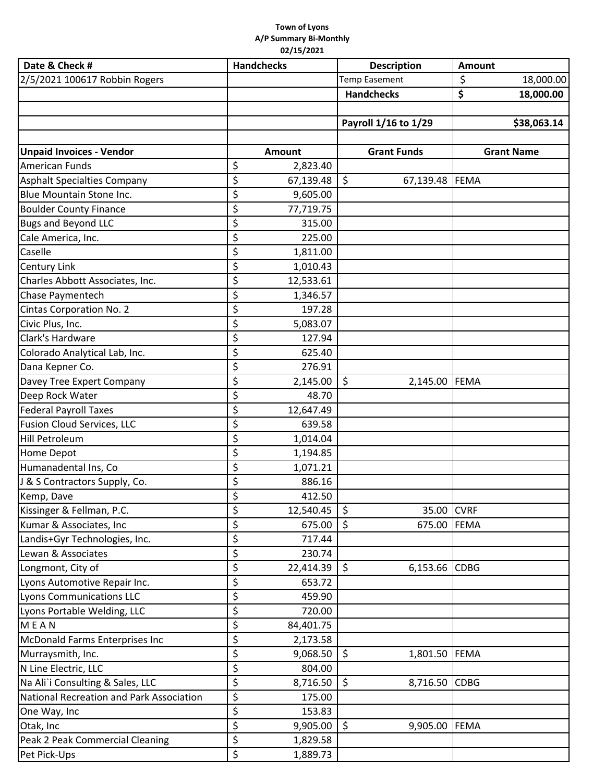## **Town of Lyons A/P Summary Bi‐Monthly 02/15/2021**

| Date & Check #                           | <b>Handchecks</b> | <b>Description</b>   | Amount            |
|------------------------------------------|-------------------|----------------------|-------------------|
| 2/5/2021 100617 Robbin Rogers            |                   | Temp Easement        | \$<br>18,000.00   |
|                                          |                   | <b>Handchecks</b>    | \$<br>18,000.00   |
|                                          |                   |                      |                   |
|                                          |                   | Payroll 1/16 to 1/29 | \$38,063.14       |
|                                          |                   |                      |                   |
| <b>Unpaid Invoices - Vendor</b>          | <b>Amount</b>     | <b>Grant Funds</b>   | <b>Grant Name</b> |
| American Funds                           | \$<br>2,823.40    |                      |                   |
| <b>Asphalt Specialties Company</b>       | \$<br>67,139.48   | \$<br>67,139.48      | FEMA              |
| Blue Mountain Stone Inc.                 | \$<br>9,605.00    |                      |                   |
| <b>Boulder County Finance</b>            | \$<br>77,719.75   |                      |                   |
| <b>Bugs and Beyond LLC</b>               | \$<br>315.00      |                      |                   |
| Cale America, Inc.                       | \$<br>225.00      |                      |                   |
| Caselle                                  | \$<br>1,811.00    |                      |                   |
| <b>Century Link</b>                      | \$<br>1,010.43    |                      |                   |
| Charles Abbott Associates, Inc.          | \$<br>12,533.61   |                      |                   |
| Chase Paymentech                         | \$<br>1,346.57    |                      |                   |
| Cintas Corporation No. 2                 | \$<br>197.28      |                      |                   |
| Civic Plus, Inc.                         | \$<br>5,083.07    |                      |                   |
| Clark's Hardware                         | \$<br>127.94      |                      |                   |
| Colorado Analytical Lab, Inc.            | \$<br>625.40      |                      |                   |
| Dana Kepner Co.                          | \$<br>276.91      |                      |                   |
| Davey Tree Expert Company                | \$<br>2,145.00    | $\zeta$<br>2,145.00  | FEMA              |
| Deep Rock Water                          | \$<br>48.70       |                      |                   |
| <b>Federal Payroll Taxes</b>             | \$<br>12,647.49   |                      |                   |
| <b>Fusion Cloud Services, LLC</b>        | \$<br>639.58      |                      |                   |
| Hill Petroleum                           | \$<br>1,014.04    |                      |                   |
| Home Depot                               | \$<br>1,194.85    |                      |                   |
| Humanadental Ins, Co                     | \$<br>1,071.21    |                      |                   |
| J & S Contractors Supply, Co.            | \$<br>886.16      |                      |                   |
| Kemp, Dave                               | ¢<br>412.50       |                      |                   |
| Kissinger & Fellman, P.C.                | \$<br>12,540.45   | $\zeta$<br>35.00     | <b>CVRF</b>       |
| Kumar & Associates, Inc                  | \$<br>675.00      | \$<br>675.00         | <b>FEMA</b>       |
| Landis+Gyr Technologies, Inc.            | \$<br>717.44      |                      |                   |
| Lewan & Associates                       | \$<br>230.74      |                      |                   |
| Longmont, City of                        | \$<br>22,414.39   | \$<br>6,153.66       | <b>CDBG</b>       |
| Lyons Automotive Repair Inc.             | \$<br>653.72      |                      |                   |
| Lyons Communications LLC                 | \$<br>459.90      |                      |                   |
| Lyons Portable Welding, LLC              | \$<br>720.00      |                      |                   |
| <b>MEAN</b>                              | \$<br>84,401.75   |                      |                   |
| McDonald Farms Enterprises Inc           | \$<br>2,173.58    |                      |                   |
| Murraysmith, Inc.                        | \$<br>9,068.50    | \$<br>1,801.50       | FEMA              |
| N Line Electric, LLC                     | \$<br>804.00      |                      |                   |
| Na Ali`i Consulting & Sales, LLC         | \$<br>8,716.50    | \$<br>8,716.50       | <b>CDBG</b>       |
| National Recreation and Park Association | \$<br>175.00      |                      |                   |
| One Way, Inc                             | \$<br>153.83      |                      |                   |
| Otak, Inc                                | \$<br>9,905.00    | \$<br>9,905.00       | FEMA              |
| Peak 2 Peak Commercial Cleaning          | \$<br>1,829.58    |                      |                   |
| Pet Pick-Ups                             | \$<br>1,889.73    |                      |                   |